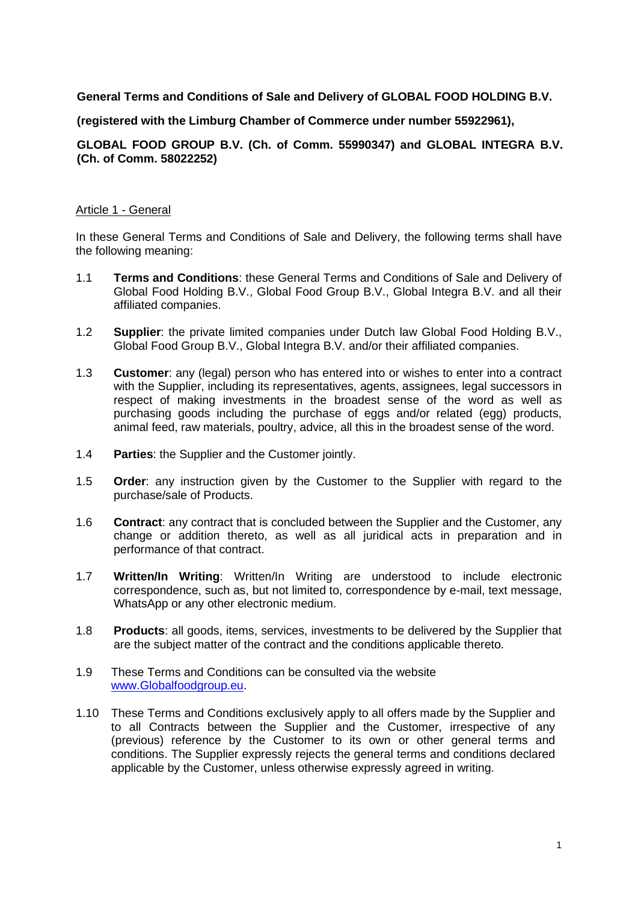# **General Terms and Conditions of Sale and Delivery of GLOBAL FOOD HOLDING B.V.**

### **(registered with the Limburg Chamber of Commerce under number 55922961),**

# **GLOBAL FOOD GROUP B.V. (Ch. of Comm. 55990347) and GLOBAL INTEGRA B.V. (Ch. of Comm. 58022252)**

# Article 1 - General

In these General Terms and Conditions of Sale and Delivery, the following terms shall have the following meaning:

- 1.1 **Terms and Conditions**: these General Terms and Conditions of Sale and Delivery of Global Food Holding B.V., Global Food Group B.V., Global Integra B.V. and all their affiliated companies.
- 1.2 **Supplier**: the private limited companies under Dutch law Global Food Holding B.V., Global Food Group B.V., Global Integra B.V. and/or their affiliated companies.
- 1.3 **Customer**: any (legal) person who has entered into or wishes to enter into a contract with the Supplier, including its representatives, agents, assignees, legal successors in respect of making investments in the broadest sense of the word as well as purchasing goods including the purchase of eggs and/or related (egg) products, animal feed, raw materials, poultry, advice, all this in the broadest sense of the word.
- 1.4 **Parties**: the Supplier and the Customer jointly.
- 1.5 **Order**: any instruction given by the Customer to the Supplier with regard to the purchase/sale of Products.
- 1.6 **Contract**: any contract that is concluded between the Supplier and the Customer, any change or addition thereto, as well as all juridical acts in preparation and in performance of that contract.
- 1.7 **Written/In Writing**: Written/In Writing are understood to include electronic correspondence, such as, but not limited to, correspondence by e-mail, text message, WhatsApp or any other electronic medium.
- 1.8 **Products**: all goods, items, services, investments to be delivered by the Supplier that are the subject matter of the contract and the conditions applicable thereto.
- 1.9 These Terms and Conditions can be consulted via the website [www.Globalfoodgroup.eu.](http://www.globalfoodgroup.eu/)
- 1.10 These Terms and Conditions exclusively apply to all offers made by the Supplier and to all Contracts between the Supplier and the Customer, irrespective of any (previous) reference by the Customer to its own or other general terms and conditions. The Supplier expressly rejects the general terms and conditions declared applicable by the Customer, unless otherwise expressly agreed in writing.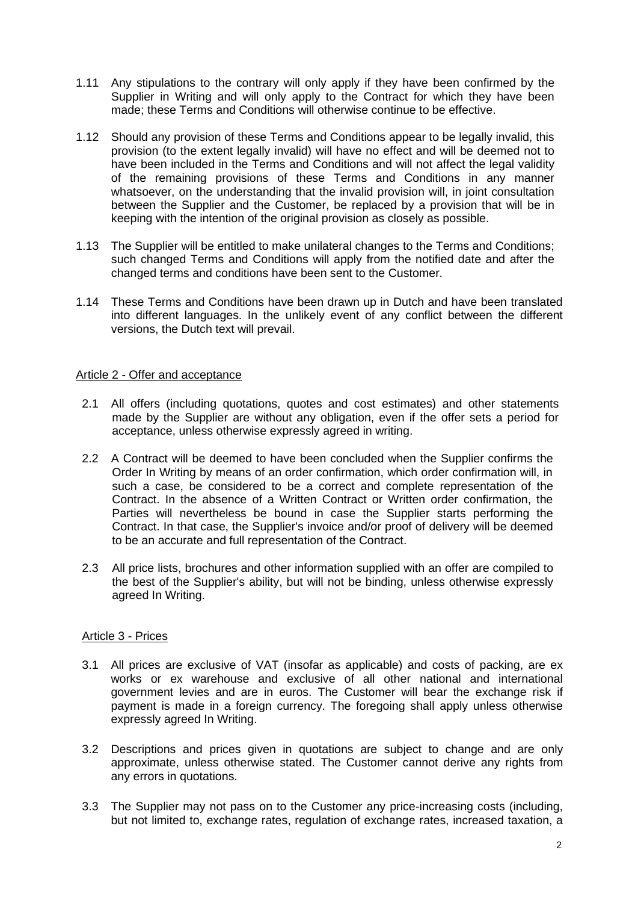- 1.11 Any stipulations to the contrary will only apply if they have been confirmed by the Supplier in Writing and will only apply to the Contract for which they have been made; these Terms and Conditions will otherwise continue to be effective.
- 1.12 Should any provision of these Terms and Conditions appear to be legally invalid, this provision (to the extent legally invalid) will have no effect and will be deemed not to have been included in the Terms and Conditions and will not affect the legal validity of the remaining provisions of these Terms and Conditions in any manner whatsoever, on the understanding that the invalid provision will, in joint consultation between the Supplier and the Customer, be replaced by a provision that will be in keeping with the intention of the original provision as closely as possible.
- 1.13 The Supplier will be entitled to make unilateral changes to the Terms and Conditions; such changed Terms and Conditions will apply from the notified date and after the changed terms and conditions have been sent to the Customer.
- 1.14 These Terms and Conditions have been drawn up in Dutch and have been translated into different languages. In the unlikely event of any conflict between the different versions, the Dutch text will prevail.

### Article 2 - Offer and acceptance

- 2.1 All offers (including quotations, quotes and cost estimates) and other statements made by the Supplier are without any obligation, even if the offer sets a period for acceptance, unless otherwise expressly agreed in writing.
- 2.2 A Contract will be deemed to have been concluded when the Supplier confirms the Order In Writing by means of an order confirmation, which order confirmation will, in such a case, be considered to be a correct and complete representation of the Contract. In the absence of a Written Contract or Written order confirmation, the Parties will nevertheless be bound in case the Supplier starts performing the Contract. In that case, the Supplier's invoice and/or proof of delivery will be deemed to be an accurate and full representation of the Contract.
- 2.3 All price lists, brochures and other information supplied with an offer are compiled to the best of the Supplier's ability, but will not be binding, unless otherwise expressly agreed In Writing.

#### Article 3 - Prices

- 3.1 All prices are exclusive of VAT (insofar as applicable) and costs of packing, are ex works or ex warehouse and exclusive of all other national and international government levies and are in euros. The Customer will bear the exchange risk if payment is made in a foreign currency. The foregoing shall apply unless otherwise expressly agreed In Writing.
- 3.2 Descriptions and prices given in quotations are subject to change and are only approximate, unless otherwise stated. The Customer cannot derive any rights from any errors in quotations.
- 3.3 The Supplier may not pass on to the Customer any price-increasing costs (including, but not limited to, exchange rates, regulation of exchange rates, increased taxation, a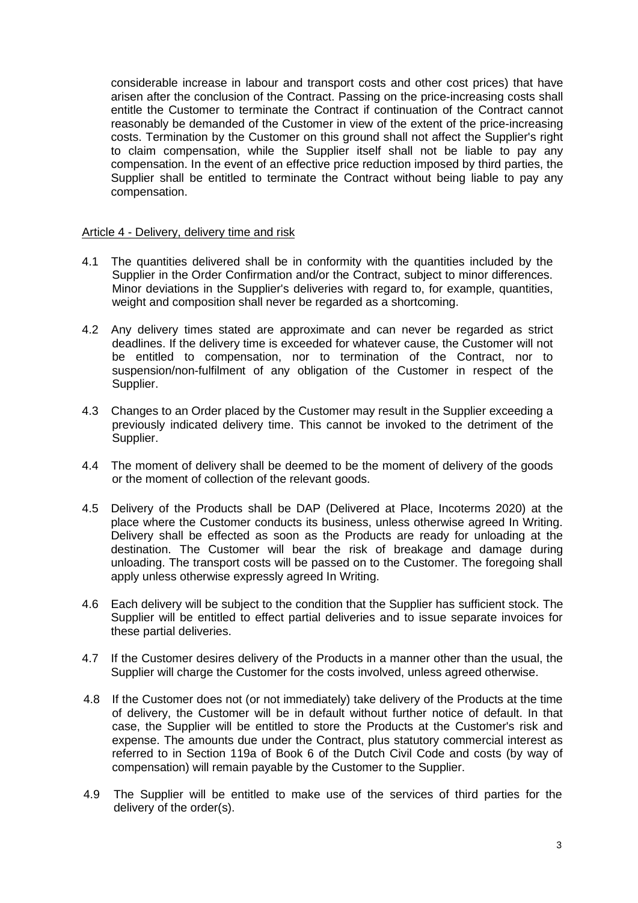considerable increase in labour and transport costs and other cost prices) that have arisen after the conclusion of the Contract. Passing on the price-increasing costs shall entitle the Customer to terminate the Contract if continuation of the Contract cannot reasonably be demanded of the Customer in view of the extent of the price-increasing costs. Termination by the Customer on this ground shall not affect the Supplier's right to claim compensation, while the Supplier itself shall not be liable to pay any compensation. In the event of an effective price reduction imposed by third parties, the Supplier shall be entitled to terminate the Contract without being liable to pay any compensation.

#### Article 4 - Delivery, delivery time and risk

- 4.1 The quantities delivered shall be in conformity with the quantities included by the Supplier in the Order Confirmation and/or the Contract, subject to minor differences. Minor deviations in the Supplier's deliveries with regard to, for example, quantities, weight and composition shall never be regarded as a shortcoming.
- 4.2 Any delivery times stated are approximate and can never be regarded as strict deadlines. If the delivery time is exceeded for whatever cause, the Customer will not be entitled to compensation, nor to termination of the Contract, nor to suspension/non-fulfilment of any obligation of the Customer in respect of the Supplier.
- 4.3 Changes to an Order placed by the Customer may result in the Supplier exceeding a previously indicated delivery time. This cannot be invoked to the detriment of the Supplier.
- 4.4 The moment of delivery shall be deemed to be the moment of delivery of the goods or the moment of collection of the relevant goods.
- 4.5 Delivery of the Products shall be DAP (Delivered at Place, Incoterms 2020) at the place where the Customer conducts its business, unless otherwise agreed In Writing. Delivery shall be effected as soon as the Products are ready for unloading at the destination. The Customer will bear the risk of breakage and damage during unloading. The transport costs will be passed on to the Customer. The foregoing shall apply unless otherwise expressly agreed In Writing.
- 4.6 Each delivery will be subject to the condition that the Supplier has sufficient stock. The Supplier will be entitled to effect partial deliveries and to issue separate invoices for these partial deliveries.
- 4.7 If the Customer desires delivery of the Products in a manner other than the usual, the Supplier will charge the Customer for the costs involved, unless agreed otherwise.
- 4.8 If the Customer does not (or not immediately) take delivery of the Products at the time of delivery, the Customer will be in default without further notice of default. In that case, the Supplier will be entitled to store the Products at the Customer's risk and expense. The amounts due under the Contract, plus statutory commercial interest as referred to in Section 119a of Book 6 of the Dutch Civil Code and costs (by way of compensation) will remain payable by the Customer to the Supplier.
- 4.9 The Supplier will be entitled to make use of the services of third parties for the delivery of the order(s).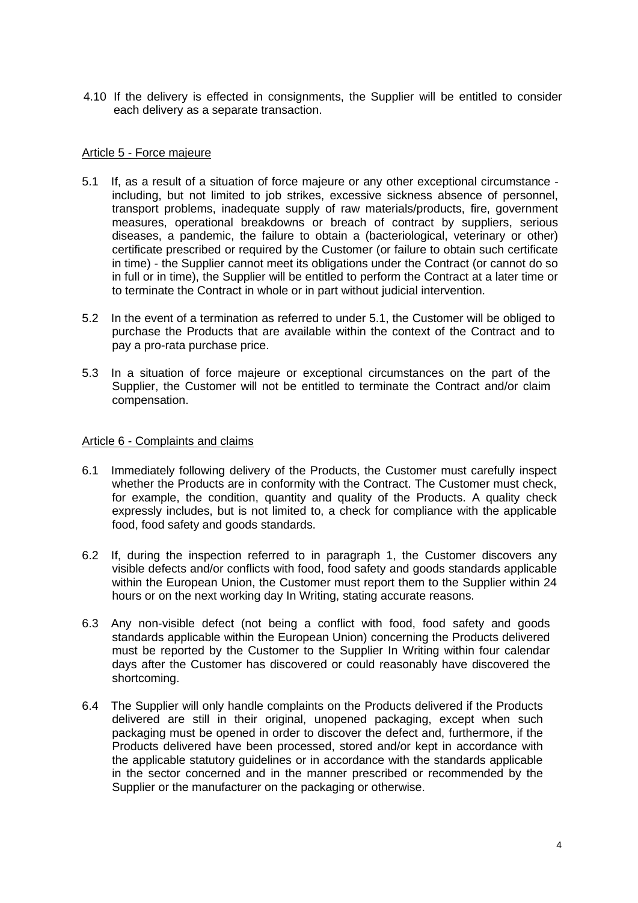4.10 If the delivery is effected in consignments, the Supplier will be entitled to consider each delivery as a separate transaction.

#### Article 5 - Force majeure

- 5.1 If, as a result of a situation of force majeure or any other exceptional circumstance including, but not limited to job strikes, excessive sickness absence of personnel, transport problems, inadequate supply of raw materials/products, fire, government measures, operational breakdowns or breach of contract by suppliers, serious diseases, a pandemic, the failure to obtain a (bacteriological, veterinary or other) certificate prescribed or required by the Customer (or failure to obtain such certificate in time) - the Supplier cannot meet its obligations under the Contract (or cannot do so in full or in time), the Supplier will be entitled to perform the Contract at a later time or to terminate the Contract in whole or in part without judicial intervention.
- 5.2 In the event of a termination as referred to under 5.1, the Customer will be obliged to purchase the Products that are available within the context of the Contract and to pay a pro-rata purchase price.
- 5.3 In a situation of force majeure or exceptional circumstances on the part of the Supplier, the Customer will not be entitled to terminate the Contract and/or claim compensation.

#### Article 6 - Complaints and claims

- 6.1 Immediately following delivery of the Products, the Customer must carefully inspect whether the Products are in conformity with the Contract. The Customer must check, for example, the condition, quantity and quality of the Products. A quality check expressly includes, but is not limited to, a check for compliance with the applicable food, food safety and goods standards.
- 6.2 If, during the inspection referred to in paragraph 1, the Customer discovers any visible defects and/or conflicts with food, food safety and goods standards applicable within the European Union, the Customer must report them to the Supplier within 24 hours or on the next working day In Writing, stating accurate reasons.
- 6.3 Any non-visible defect (not being a conflict with food, food safety and goods standards applicable within the European Union) concerning the Products delivered must be reported by the Customer to the Supplier In Writing within four calendar days after the Customer has discovered or could reasonably have discovered the shortcoming.
- 6.4 The Supplier will only handle complaints on the Products delivered if the Products delivered are still in their original, unopened packaging, except when such packaging must be opened in order to discover the defect and, furthermore, if the Products delivered have been processed, stored and/or kept in accordance with the applicable statutory guidelines or in accordance with the standards applicable in the sector concerned and in the manner prescribed or recommended by the Supplier or the manufacturer on the packaging or otherwise.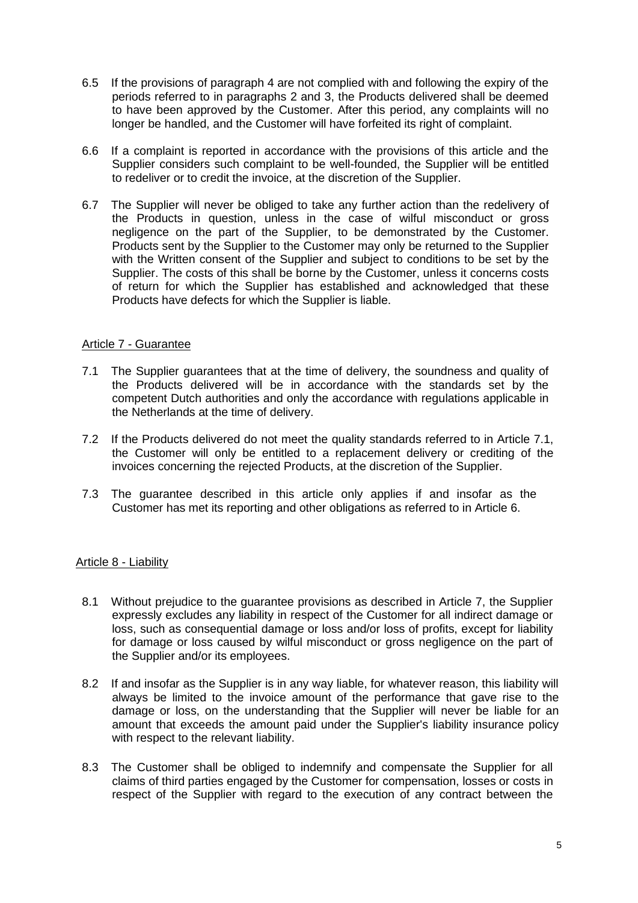- 6.5 If the provisions of paragraph 4 are not complied with and following the expiry of the periods referred to in paragraphs 2 and 3, the Products delivered shall be deemed to have been approved by the Customer. After this period, any complaints will no longer be handled, and the Customer will have forfeited its right of complaint.
- 6.6 If a complaint is reported in accordance with the provisions of this article and the Supplier considers such complaint to be well-founded, the Supplier will be entitled to redeliver or to credit the invoice, at the discretion of the Supplier.
- 6.7 The Supplier will never be obliged to take any further action than the redelivery of the Products in question, unless in the case of wilful misconduct or gross negligence on the part of the Supplier, to be demonstrated by the Customer. Products sent by the Supplier to the Customer may only be returned to the Supplier with the Written consent of the Supplier and subject to conditions to be set by the Supplier. The costs of this shall be borne by the Customer, unless it concerns costs of return for which the Supplier has established and acknowledged that these Products have defects for which the Supplier is liable.

### Article 7 - Guarantee

- 7.1 The Supplier guarantees that at the time of delivery, the soundness and quality of the Products delivered will be in accordance with the standards set by the competent Dutch authorities and only the accordance with regulations applicable in the Netherlands at the time of delivery.
- 7.2 If the Products delivered do not meet the quality standards referred to in Article 7.1, the Customer will only be entitled to a replacement delivery or crediting of the invoices concerning the rejected Products, at the discretion of the Supplier.
- 7.3 The guarantee described in this article only applies if and insofar as the Customer has met its reporting and other obligations as referred to in Article 6.

### Article 8 - Liability

- 8.1 Without prejudice to the guarantee provisions as described in Article 7, the Supplier expressly excludes any liability in respect of the Customer for all indirect damage or loss, such as consequential damage or loss and/or loss of profits, except for liability for damage or loss caused by wilful misconduct or gross negligence on the part of the Supplier and/or its employees.
- 8.2 If and insofar as the Supplier is in any way liable, for whatever reason, this liability will always be limited to the invoice amount of the performance that gave rise to the damage or loss, on the understanding that the Supplier will never be liable for an amount that exceeds the amount paid under the Supplier's liability insurance policy with respect to the relevant liability.
- 8.3 The Customer shall be obliged to indemnify and compensate the Supplier for all claims of third parties engaged by the Customer for compensation, losses or costs in respect of the Supplier with regard to the execution of any contract between the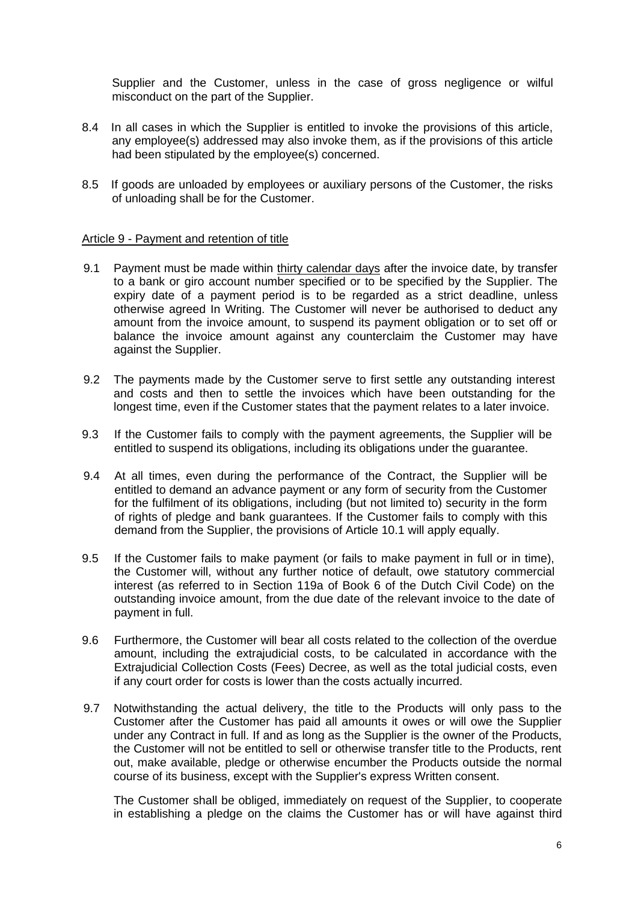Supplier and the Customer, unless in the case of gross negligence or wilful misconduct on the part of the Supplier.

- 8.4 In all cases in which the Supplier is entitled to invoke the provisions of this article, any employee(s) addressed may also invoke them, as if the provisions of this article had been stipulated by the employee(s) concerned.
- 8.5 If goods are unloaded by employees or auxiliary persons of the Customer, the risks of unloading shall be for the Customer.

#### Article 9 - Payment and retention of title

- 9.1 Payment must be made within thirty calendar days after the invoice date, by transfer to a bank or giro account number specified or to be specified by the Supplier. The expiry date of a payment period is to be regarded as a strict deadline, unless otherwise agreed In Writing. The Customer will never be authorised to deduct any amount from the invoice amount, to suspend its payment obligation or to set off or balance the invoice amount against any counterclaim the Customer may have against the Supplier.
- 9.2 The payments made by the Customer serve to first settle any outstanding interest and costs and then to settle the invoices which have been outstanding for the longest time, even if the Customer states that the payment relates to a later invoice.
- 9.3 If the Customer fails to comply with the payment agreements, the Supplier will be entitled to suspend its obligations, including its obligations under the guarantee.
- 9.4 At all times, even during the performance of the Contract, the Supplier will be entitled to demand an advance payment or any form of security from the Customer for the fulfilment of its obligations, including (but not limited to) security in the form of rights of pledge and bank guarantees. If the Customer fails to comply with this demand from the Supplier, the provisions of Article 10.1 will apply equally.
- 9.5 If the Customer fails to make payment (or fails to make payment in full or in time), the Customer will, without any further notice of default, owe statutory commercial interest (as referred to in Section 119a of Book 6 of the Dutch Civil Code) on the outstanding invoice amount, from the due date of the relevant invoice to the date of payment in full.
- 9.6 Furthermore, the Customer will bear all costs related to the collection of the overdue amount, including the extrajudicial costs, to be calculated in accordance with the Extrajudicial Collection Costs (Fees) Decree, as well as the total judicial costs, even if any court order for costs is lower than the costs actually incurred.
- 9.7 Notwithstanding the actual delivery, the title to the Products will only pass to the Customer after the Customer has paid all amounts it owes or will owe the Supplier under any Contract in full. If and as long as the Supplier is the owner of the Products, the Customer will not be entitled to sell or otherwise transfer title to the Products, rent out, make available, pledge or otherwise encumber the Products outside the normal course of its business, except with the Supplier's express Written consent.

The Customer shall be obliged, immediately on request of the Supplier, to cooperate in establishing a pledge on the claims the Customer has or will have against third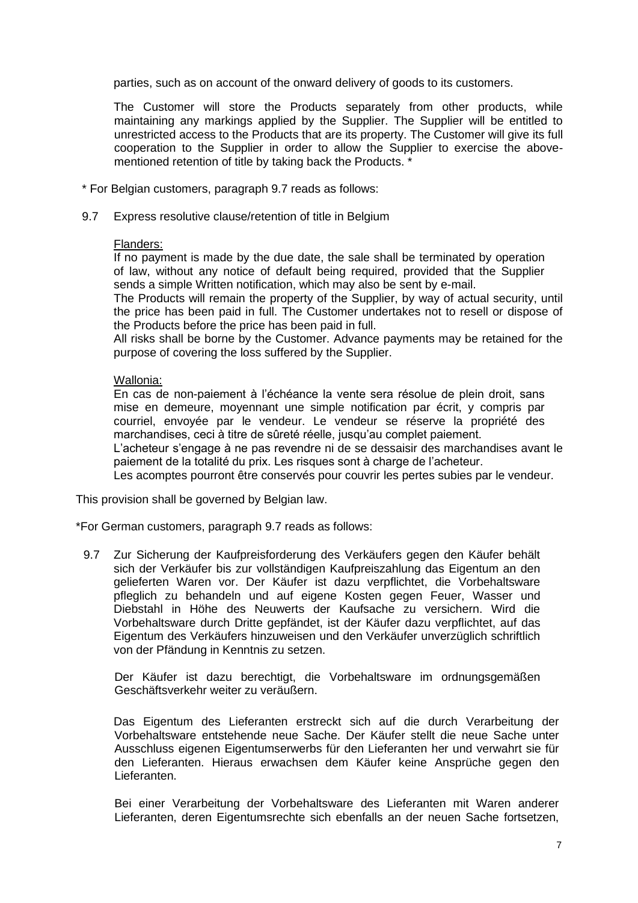parties, such as on account of the onward delivery of goods to its customers.

The Customer will store the Products separately from other products, while maintaining any markings applied by the Supplier. The Supplier will be entitled to unrestricted access to the Products that are its property. The Customer will give its full cooperation to the Supplier in order to allow the Supplier to exercise the abovementioned retention of title by taking back the Products. \*

- \* For Belgian customers, paragraph 9.7 reads as follows:
- 9.7 Express resolutive clause/retention of title in Belgium

#### Flanders:

If no payment is made by the due date, the sale shall be terminated by operation of law, without any notice of default being required, provided that the Supplier sends a simple Written notification, which may also be sent by e-mail.

The Products will remain the property of the Supplier, by way of actual security, until the price has been paid in full. The Customer undertakes not to resell or dispose of the Products before the price has been paid in full.

All risks shall be borne by the Customer. Advance payments may be retained for the purpose of covering the loss suffered by the Supplier.

### Wallonia:

En cas de non-paiement à l'échéance la vente sera résolue de plein droit, sans mise en demeure, moyennant une simple notification par écrit, y compris par courriel, envoyée par le vendeur. Le vendeur se réserve la propriété des marchandises, ceci à titre de sûreté réelle, jusqu'au complet paiement.

L'acheteur s'engage à ne pas revendre ni de se dessaisir des marchandises avant le paiement de la totalité du prix. Les risques sont à charge de l'acheteur.

Les acomptes pourront être conservés pour couvrir les pertes subies par le vendeur.

This provision shall be governed by Belgian law.

\*For German customers, paragraph 9.7 reads as follows:

9.7 Zur Sicherung der Kaufpreisforderung des Verkäufers gegen den Käufer behält sich der Verkäufer bis zur vollständigen Kaufpreiszahlung das Eigentum an den gelieferten Waren vor. Der Käufer ist dazu verpflichtet, die Vorbehaltsware pfleglich zu behandeln und auf eigene Kosten gegen Feuer, Wasser und Diebstahl in Höhe des Neuwerts der Kaufsache zu versichern. Wird die Vorbehaltsware durch Dritte gepfändet, ist der Käufer dazu verpflichtet, auf das Eigentum des Verkäufers hinzuweisen und den Verkäufer unverzüglich schriftlich von der Pfändung in Kenntnis zu setzen.

Der Käufer ist dazu berechtigt, die Vorbehaltsware im ordnungsgemäßen Geschäftsverkehr weiter zu veräußern.

Das Eigentum des Lieferanten erstreckt sich auf die durch Verarbeitung der Vorbehaltsware entstehende neue Sache. Der Käufer stellt die neue Sache unter Ausschluss eigenen Eigentumserwerbs für den Lieferanten her und verwahrt sie für den Lieferanten. Hieraus erwachsen dem Käufer keine Ansprüche gegen den Lieferanten.

Bei einer Verarbeitung der Vorbehaltsware des Lieferanten mit Waren anderer Lieferanten, deren Eigentumsrechte sich ebenfalls an der neuen Sache fortsetzen,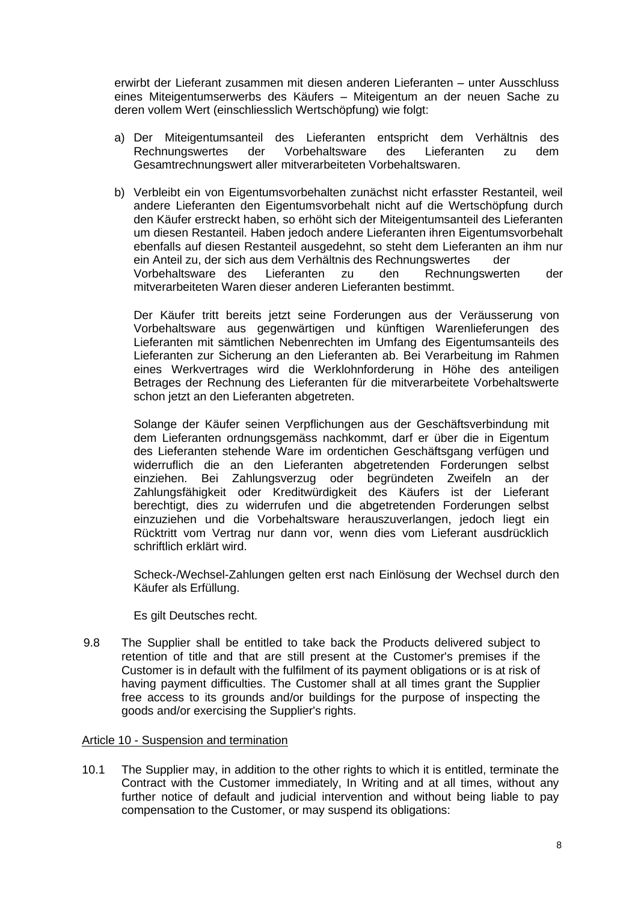erwirbt der Lieferant zusammen mit diesen anderen Lieferanten – unter Ausschluss eines Miteigentumserwerbs des Käufers – Miteigentum an der neuen Sache zu deren vollem Wert (einschliesslich Wertschöpfung) wie folgt:

- a) Der Miteigentumsanteil des Lieferanten entspricht dem Verhältnis des Rechnungswertes der Vorbehaltsware des Lieferanten zu dem Gesamtrechnungswert aller mitverarbeiteten Vorbehaltswaren.
- b) Verbleibt ein von Eigentumsvorbehalten zunächst nicht erfasster Restanteil, weil andere Lieferanten den Eigentumsvorbehalt nicht auf die Wertschöpfung durch den Käufer erstreckt haben, so erhöht sich der Miteigentumsanteil des Lieferanten um diesen Restanteil. Haben jedoch andere Lieferanten ihren Eigentumsvorbehalt ebenfalls auf diesen Restanteil ausgedehnt, so steht dem Lieferanten an ihm nur ein Anteil zu, der sich aus dem Verhältnis des Rechnungswertes der Vorbehaltsware des Lieferanten zu den Rechnungswerten der mitverarbeiteten Waren dieser anderen Lieferanten bestimmt.

Der Käufer tritt bereits jetzt seine Forderungen aus der Veräusserung von Vorbehaltsware aus gegenwärtigen und künftigen Warenlieferungen des Lieferanten mit sämtlichen Nebenrechten im Umfang des Eigentumsanteils des Lieferanten zur Sicherung an den Lieferanten ab. Bei Verarbeitung im Rahmen eines Werkvertrages wird die Werklohnforderung in Höhe des anteiligen Betrages der Rechnung des Lieferanten für die mitverarbeitete Vorbehaltswerte schon jetzt an den Lieferanten abgetreten.

Solange der Käufer seinen Verpflichungen aus der Geschäftsverbindung mit dem Lieferanten ordnungsgemäss nachkommt, darf er über die in Eigentum des Lieferanten stehende Ware im ordentichen Geschäftsgang verfügen und widerruflich die an den Lieferanten abgetretenden Forderungen selbst einziehen. Bei Zahlungsverzug oder begründeten Zweifeln an der Zahlungsfähigkeit oder Kreditwürdigkeit des Käufers ist der Lieferant berechtigt, dies zu widerrufen und die abgetretenden Forderungen selbst einzuziehen und die Vorbehaltsware herauszuverlangen, jedoch liegt ein Rücktritt vom Vertrag nur dann vor, wenn dies vom Lieferant ausdrücklich schriftlich erklärt wird.

Scheck-/Wechsel-Zahlungen gelten erst nach Einlösung der Wechsel durch den Käufer als Erfüllung.

Es gilt Deutsches recht.

9.8 The Supplier shall be entitled to take back the Products delivered subject to retention of title and that are still present at the Customer's premises if the Customer is in default with the fulfilment of its payment obligations or is at risk of having payment difficulties. The Customer shall at all times grant the Supplier free access to its grounds and/or buildings for the purpose of inspecting the goods and/or exercising the Supplier's rights.

#### Article 10 - Suspension and termination

10.1 The Supplier may, in addition to the other rights to which it is entitled, terminate the Contract with the Customer immediately, In Writing and at all times, without any further notice of default and judicial intervention and without being liable to pay compensation to the Customer, or may suspend its obligations: